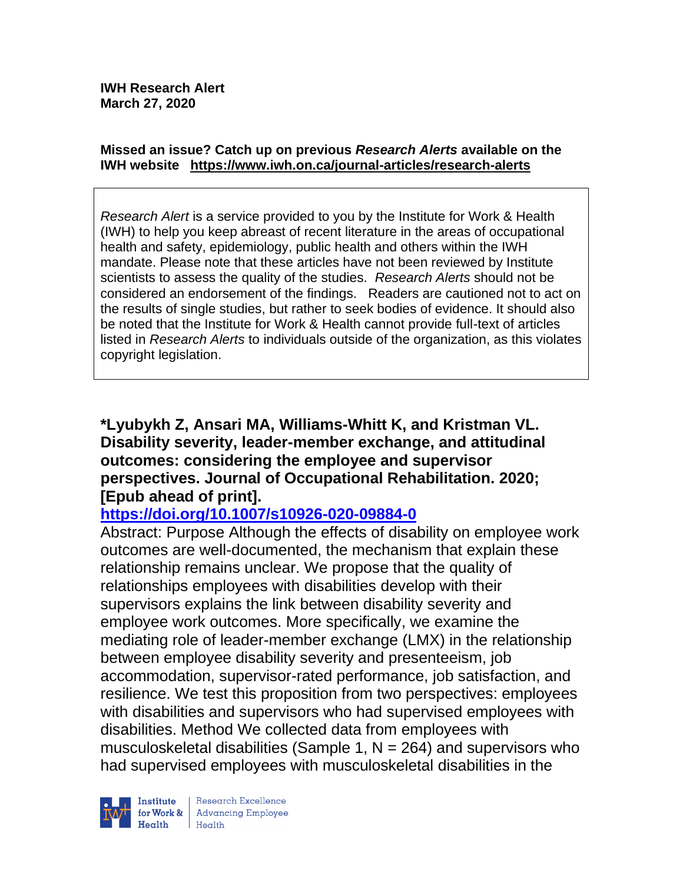#### **Missed an issue? Catch up on previous** *Research Alerts* **available on the [IWH website](http://www.iwh.on.ca/research-alerts) <https://www.iwh.on.ca/journal-articles/research-alerts>**

*Research Alert* is a service provided to you by the Institute for Work & Health (IWH) to help you keep abreast of recent literature in the areas of occupational health and safety, epidemiology, public health and others within the IWH mandate. Please note that these articles have not been reviewed by Institute scientists to assess the quality of the studies. *Research Alerts* should not be considered an endorsement of the findings. Readers are cautioned not to act on the results of single studies, but rather to seek bodies of evidence. It should also be noted that the Institute for Work & Health cannot provide full-text of articles listed in *Research Alerts* to individuals outside of the organization, as this violates copyright legislation.

**\*Lyubykh Z, Ansari MA, Williams-Whitt K, and Kristman VL. Disability severity, leader-member exchange, and attitudinal outcomes: considering the employee and supervisor perspectives. Journal of Occupational Rehabilitation. 2020; [Epub ahead of print].**

# **<https://doi.org/10.1007/s10926-020-09884-0>**

Abstract: Purpose Although the effects of disability on employee work outcomes are well-documented, the mechanism that explain these relationship remains unclear. We propose that the quality of relationships employees with disabilities develop with their supervisors explains the link between disability severity and employee work outcomes. More specifically, we examine the mediating role of leader-member exchange (LMX) in the relationship between employee disability severity and presenteeism, job accommodation, supervisor-rated performance, job satisfaction, and resilience. We test this proposition from two perspectives: employees with disabilities and supervisors who had supervised employees with disabilities. Method We collected data from employees with musculoskeletal disabilities (Sample 1,  $N = 264$ ) and supervisors who had supervised employees with musculoskeletal disabilities in the

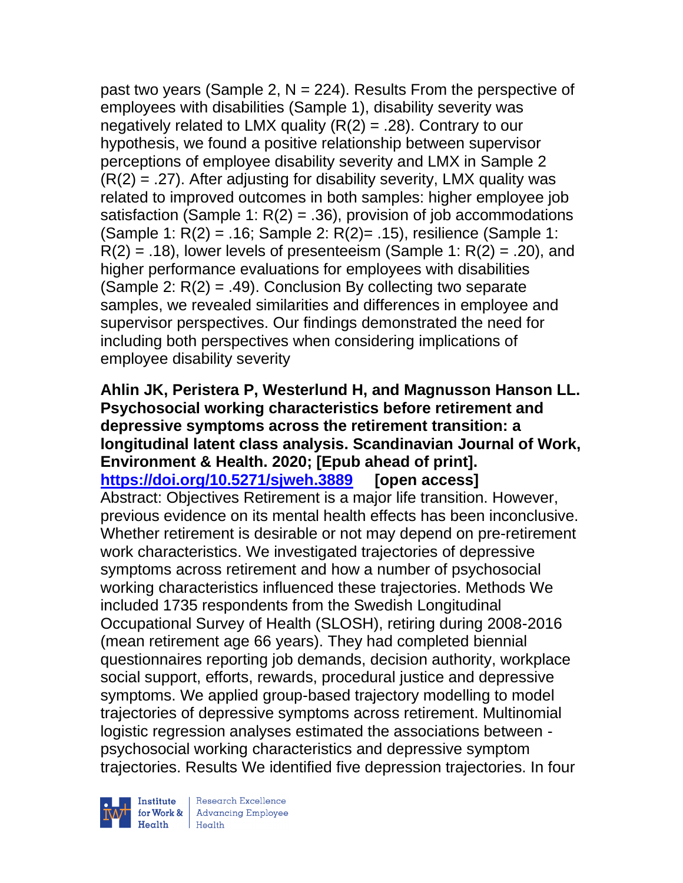past two years (Sample 2,  $N = 224$ ). Results From the perspective of employees with disabilities (Sample 1), disability severity was negatively related to LMX quality  $(R(2) = .28)$ . Contrary to our hypothesis, we found a positive relationship between supervisor perceptions of employee disability severity and LMX in Sample 2  $(R(2) = .27)$ . After adjusting for disability severity, LMX quality was related to improved outcomes in both samples: higher employee job satisfaction (Sample 1:  $R(2) = .36$ ), provision of job accommodations (Sample 1:  $R(2) = .16$ ; Sample 2:  $R(2) = .15$ ), resilience (Sample 1:  $R(2) = .18$ , lower levels of presenteeism (Sample 1:  $R(2) = .20$ ), and higher performance evaluations for employees with disabilities (Sample 2:  $R(2) = .49$ ). Conclusion By collecting two separate samples, we revealed similarities and differences in employee and supervisor perspectives. Our findings demonstrated the need for including both perspectives when considering implications of employee disability severity

**Ahlin JK, Peristera P, Westerlund H, and Magnusson Hanson LL. Psychosocial working characteristics before retirement and depressive symptoms across the retirement transition: a longitudinal latent class analysis. Scandinavian Journal of Work, Environment & Health. 2020; [Epub ahead of print]. <https://doi.org/10.5271/sjweh.3889> [open access]** Abstract: Objectives Retirement is a major life transition. However, previous evidence on its mental health effects has been inconclusive. Whether retirement is desirable or not may depend on pre-retirement work characteristics. We investigated trajectories of depressive symptoms across retirement and how a number of psychosocial working characteristics influenced these trajectories. Methods We included 1735 respondents from the Swedish Longitudinal Occupational Survey of Health (SLOSH), retiring during 2008-2016 (mean retirement age 66 years). They had completed biennial questionnaires reporting job demands, decision authority, workplace social support, efforts, rewards, procedural justice and depressive symptoms. We applied group-based trajectory modelling to model trajectories of depressive symptoms across retirement. Multinomial logistic regression analyses estimated the associations between psychosocial working characteristics and depressive symptom trajectories. Results We identified five depression trajectories. In four



Institute Research Excellence<br>
for Work & Advancing Employee<br>
Health<br>
Health  $Heath$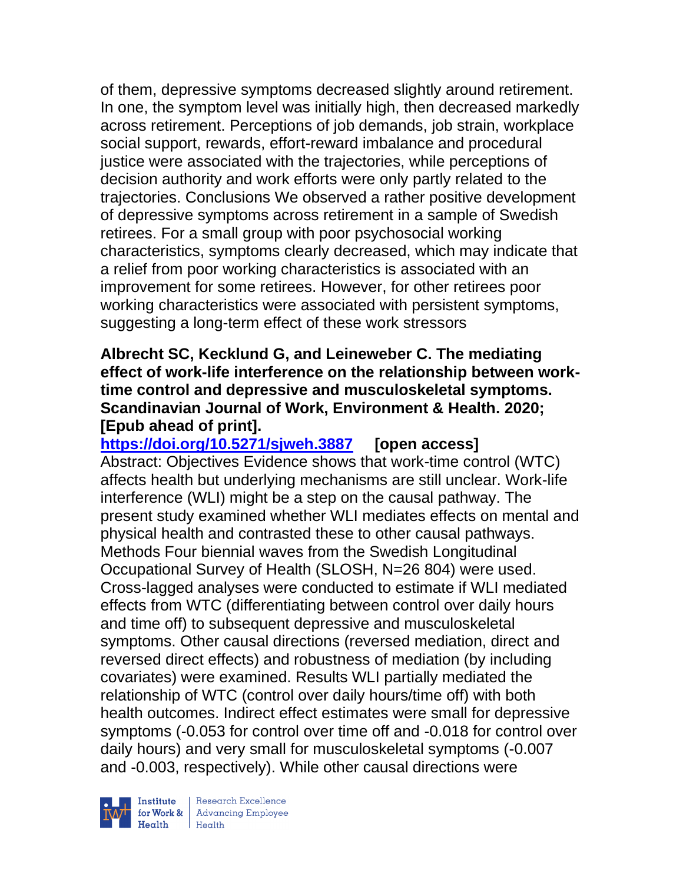of them, depressive symptoms decreased slightly around retirement. In one, the symptom level was initially high, then decreased markedly across retirement. Perceptions of job demands, job strain, workplace social support, rewards, effort-reward imbalance and procedural justice were associated with the trajectories, while perceptions of decision authority and work efforts were only partly related to the trajectories. Conclusions We observed a rather positive development of depressive symptoms across retirement in a sample of Swedish retirees. For a small group with poor psychosocial working characteristics, symptoms clearly decreased, which may indicate that a relief from poor working characteristics is associated with an improvement for some retirees. However, for other retirees poor working characteristics were associated with persistent symptoms, suggesting a long-term effect of these work stressors

### **Albrecht SC, Kecklund G, and Leineweber C. The mediating effect of work-life interference on the relationship between worktime control and depressive and musculoskeletal symptoms. Scandinavian Journal of Work, Environment & Health. 2020; [Epub ahead of print].**

**<https://doi.org/10.5271/sjweh.3887> [open access]** Abstract: Objectives Evidence shows that work-time control (WTC) affects health but underlying mechanisms are still unclear. Work-life interference (WLI) might be a step on the causal pathway. The present study examined whether WLI mediates effects on mental and physical health and contrasted these to other causal pathways. Methods Four biennial waves from the Swedish Longitudinal Occupational Survey of Health (SLOSH, N=26 804) were used. Cross-lagged analyses were conducted to estimate if WLI mediated effects from WTC (differentiating between control over daily hours and time off) to subsequent depressive and musculoskeletal symptoms. Other causal directions (reversed mediation, direct and reversed direct effects) and robustness of mediation (by including covariates) were examined. Results WLI partially mediated the relationship of WTC (control over daily hours/time off) with both health outcomes. Indirect effect estimates were small for depressive symptoms (-0.053 for control over time off and -0.018 for control over daily hours) and very small for musculoskeletal symptoms (-0.007 and -0.003, respectively). While other causal directions were

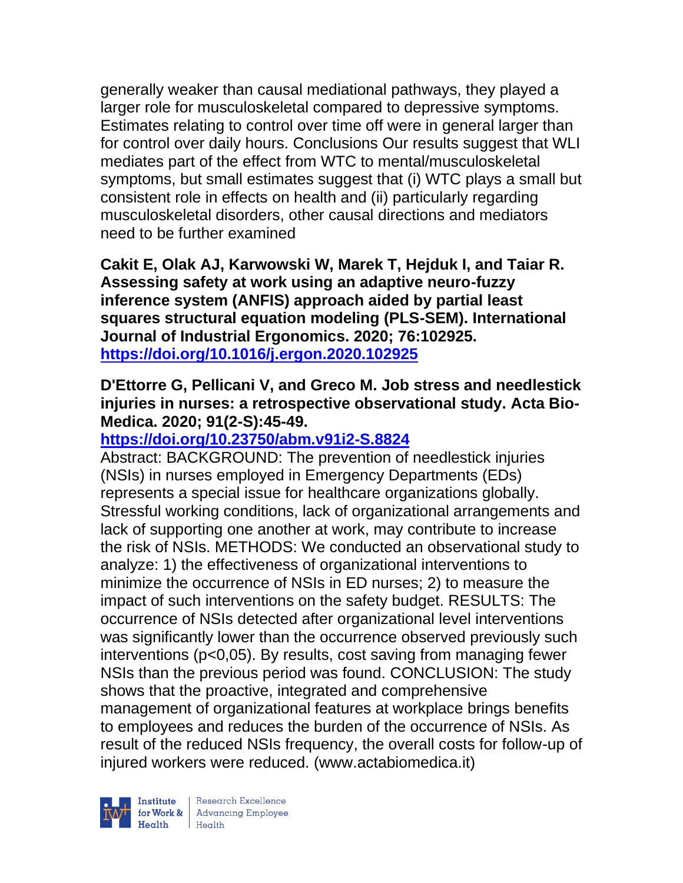generally weaker than causal mediational pathways, they played a larger role for musculoskeletal compared to depressive symptoms. Estimates relating to control over time off were in general larger than for control over daily hours. Conclusions Our results suggest that WLI mediates part of the effect from WTC to mental/musculoskeletal symptoms, but small estimates suggest that (i) WTC plays a small but consistent role in effects on health and (ii) particularly regarding musculoskeletal disorders, other causal directions and mediators need to be further examined

**Cakit E, Olak AJ, Karwowski W, Marek T, Hejduk I, and Taiar R. Assessing safety at work using an adaptive neuro-fuzzy inference system (ANFIS) approach aided by partial least squares structural equation modeling (PLS-SEM). International Journal of Industrial Ergonomics. 2020; 76:102925. <https://doi.org/10.1016/j.ergon.2020.102925>** 

### **D'Ettorre G, Pellicani V, and Greco M. Job stress and needlestick injuries in nurses: a retrospective observational study. Acta Bio-Medica. 2020; 91(2-S):45-49.**

# **<https://doi.org/10.23750/abm.v91i2-S.8824>**

Abstract: BACKGROUND: The prevention of needlestick injuries (NSIs) in nurses employed in Emergency Departments (EDs) represents a special issue for healthcare organizations globally. Stressful working conditions, lack of organizational arrangements and lack of supporting one another at work, may contribute to increase the risk of NSIs. METHODS: We conducted an observational study to analyze: 1) the effectiveness of organizational interventions to minimize the occurrence of NSIs in ED nurses; 2) to measure the impact of such interventions on the safety budget. RESULTS: The occurrence of NSIs detected after organizational level interventions was significantly lower than the occurrence observed previously such interventions (p<0,05). By results, cost saving from managing fewer NSIs than the previous period was found. CONCLUSION: The study shows that the proactive, integrated and comprehensive management of organizational features at workplace brings benefits to employees and reduces the burden of the occurrence of NSIs. As result of the reduced NSIs frequency, the overall costs for follow-up of injured workers were reduced. (www.actabiomedica.it)

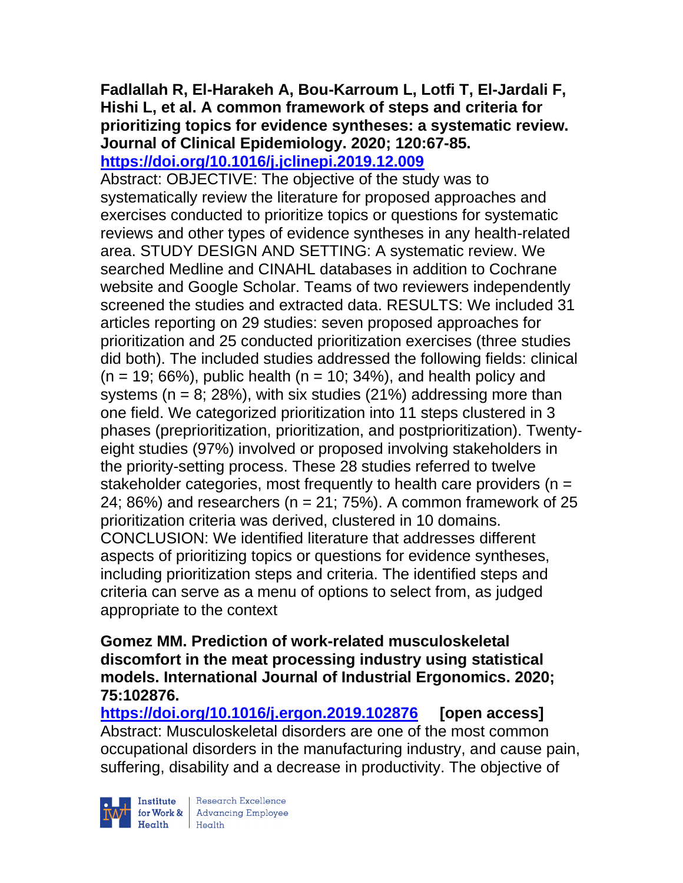#### **Fadlallah R, El-Harakeh A, Bou-Karroum L, Lotfi T, El-Jardali F, Hishi L, et al. A common framework of steps and criteria for prioritizing topics for evidence syntheses: a systematic review. Journal of Clinical Epidemiology. 2020; 120:67-85. <https://doi.org/10.1016/j.jclinepi.2019.12.009>**

Abstract: OBJECTIVE: The objective of the study was to systematically review the literature for proposed approaches and exercises conducted to prioritize topics or questions for systematic reviews and other types of evidence syntheses in any health-related area. STUDY DESIGN AND SETTING: A systematic review. We searched Medline and CINAHL databases in addition to Cochrane website and Google Scholar. Teams of two reviewers independently screened the studies and extracted data. RESULTS: We included 31 articles reporting on 29 studies: seven proposed approaches for prioritization and 25 conducted prioritization exercises (three studies did both). The included studies addressed the following fields: clinical  $(n = 19; 66%)$ , public health  $(n = 10; 34%)$ , and health policy and systems ( $n = 8$ ; 28%), with six studies (21%) addressing more than one field. We categorized prioritization into 11 steps clustered in 3 phases (preprioritization, prioritization, and postprioritization). Twentyeight studies (97%) involved or proposed involving stakeholders in the priority-setting process. These 28 studies referred to twelve stakeholder categories, most frequently to health care providers ( $n =$ 24; 86%) and researchers ( $n = 21$ ; 75%). A common framework of 25 prioritization criteria was derived, clustered in 10 domains. CONCLUSION: We identified literature that addresses different aspects of prioritizing topics or questions for evidence syntheses, including prioritization steps and criteria. The identified steps and criteria can serve as a menu of options to select from, as judged appropriate to the context

#### **Gomez MM. Prediction of work-related musculoskeletal discomfort in the meat processing industry using statistical models. International Journal of Industrial Ergonomics. 2020; 75:102876.**

**<https://doi.org/10.1016/j.ergon.2019.102876> [open access]** Abstract: Musculoskeletal disorders are one of the most common occupational disorders in the manufacturing industry, and cause pain, suffering, disability and a decrease in productivity. The objective of

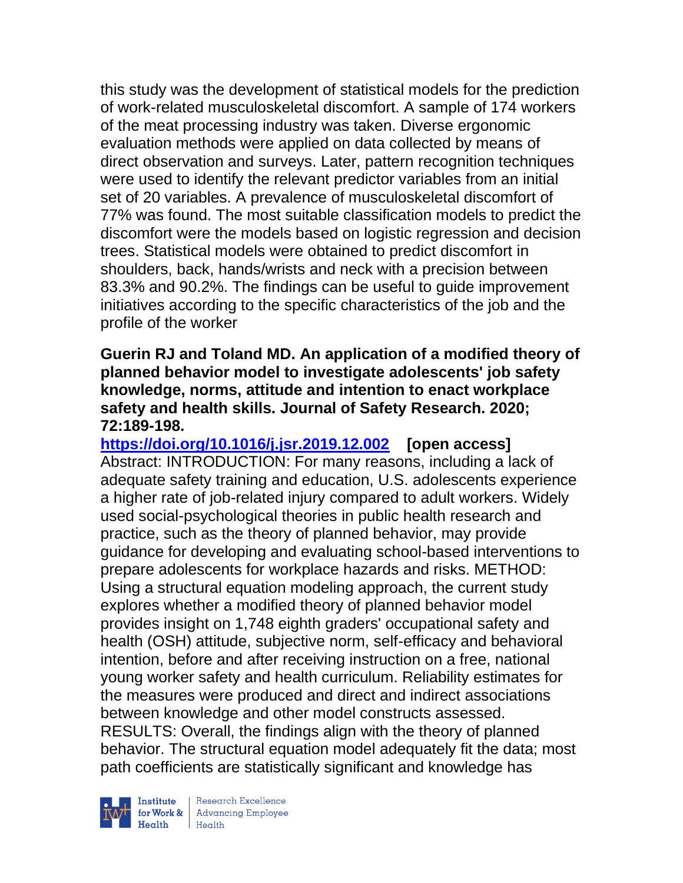this study was the development of statistical models for the prediction of work-related musculoskeletal discomfort. A sample of 174 workers of the meat processing industry was taken. Diverse ergonomic evaluation methods were applied on data collected by means of direct observation and surveys. Later, pattern recognition techniques were used to identify the relevant predictor variables from an initial set of 20 variables. A prevalence of musculoskeletal discomfort of 77% was found. The most suitable classification models to predict the discomfort were the models based on logistic regression and decision trees. Statistical models were obtained to predict discomfort in shoulders, back, hands/wrists and neck with a precision between 83.3% and 90.2%. The findings can be useful to guide improvement initiatives according to the specific characteristics of the job and the profile of the worker

### **Guerin RJ and Toland MD. An application of a modified theory of planned behavior model to investigate adolescents' job safety knowledge, norms, attitude and intention to enact workplace safety and health skills. Journal of Safety Research. 2020; 72:189-198.**

**<https://doi.org/10.1016/j.jsr.2019.12.002> [open access]** Abstract: INTRODUCTION: For many reasons, including a lack of adequate safety training and education, U.S. adolescents experience a higher rate of job-related injury compared to adult workers. Widely used social-psychological theories in public health research and practice, such as the theory of planned behavior, may provide guidance for developing and evaluating school-based interventions to prepare adolescents for workplace hazards and risks. METHOD: Using a structural equation modeling approach, the current study explores whether a modified theory of planned behavior model provides insight on 1,748 eighth graders' occupational safety and health (OSH) attitude, subjective norm, self-efficacy and behavioral intention, before and after receiving instruction on a free, national young worker safety and health curriculum. Reliability estimates for the measures were produced and direct and indirect associations between knowledge and other model constructs assessed. RESULTS: Overall, the findings align with the theory of planned behavior. The structural equation model adequately fit the data; most path coefficients are statistically significant and knowledge has



 $\begin{tabular}{|l|} Institute & Research Excellence \\ \hline for Work & Advancing Employee \\ Health & Health \\ \end{tabular}$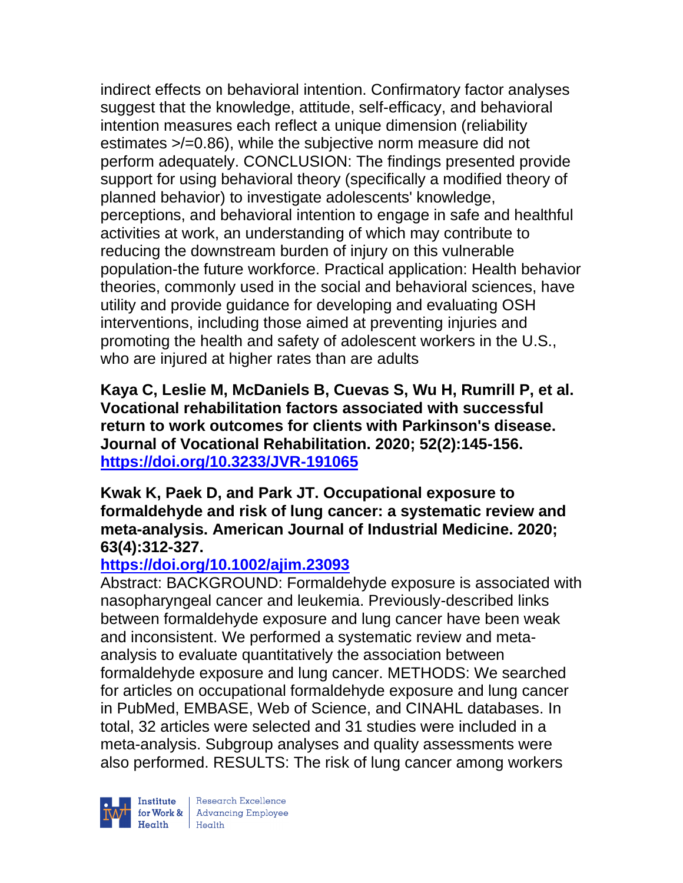indirect effects on behavioral intention. Confirmatory factor analyses suggest that the knowledge, attitude, self-efficacy, and behavioral intention measures each reflect a unique dimension (reliability estimates >/=0.86), while the subjective norm measure did not perform adequately. CONCLUSION: The findings presented provide support for using behavioral theory (specifically a modified theory of planned behavior) to investigate adolescents' knowledge, perceptions, and behavioral intention to engage in safe and healthful activities at work, an understanding of which may contribute to reducing the downstream burden of injury on this vulnerable population-the future workforce. Practical application: Health behavior theories, commonly used in the social and behavioral sciences, have utility and provide guidance for developing and evaluating OSH interventions, including those aimed at preventing injuries and promoting the health and safety of adolescent workers in the U.S., who are injured at higher rates than are adults

**Kaya C, Leslie M, McDaniels B, Cuevas S, Wu H, Rumrill P, et al. Vocational rehabilitation factors associated with successful return to work outcomes for clients with Parkinson's disease. Journal of Vocational Rehabilitation. 2020; 52(2):145-156. <https://doi.org/10.3233/JVR-191065>** 

**Kwak K, Paek D, and Park JT. Occupational exposure to formaldehyde and risk of lung cancer: a systematic review and meta-analysis. American Journal of Industrial Medicine. 2020; 63(4):312-327.** 

# **<https://doi.org/10.1002/ajim.23093>**

Abstract: BACKGROUND: Formaldehyde exposure is associated with nasopharyngeal cancer and leukemia. Previously-described links between formaldehyde exposure and lung cancer have been weak and inconsistent. We performed a systematic review and metaanalysis to evaluate quantitatively the association between formaldehyde exposure and lung cancer. METHODS: We searched for articles on occupational formaldehyde exposure and lung cancer in PubMed, EMBASE, Web of Science, and CINAHL databases. In total, 32 articles were selected and 31 studies were included in a meta-analysis. Subgroup analyses and quality assessments were also performed. RESULTS: The risk of lung cancer among workers

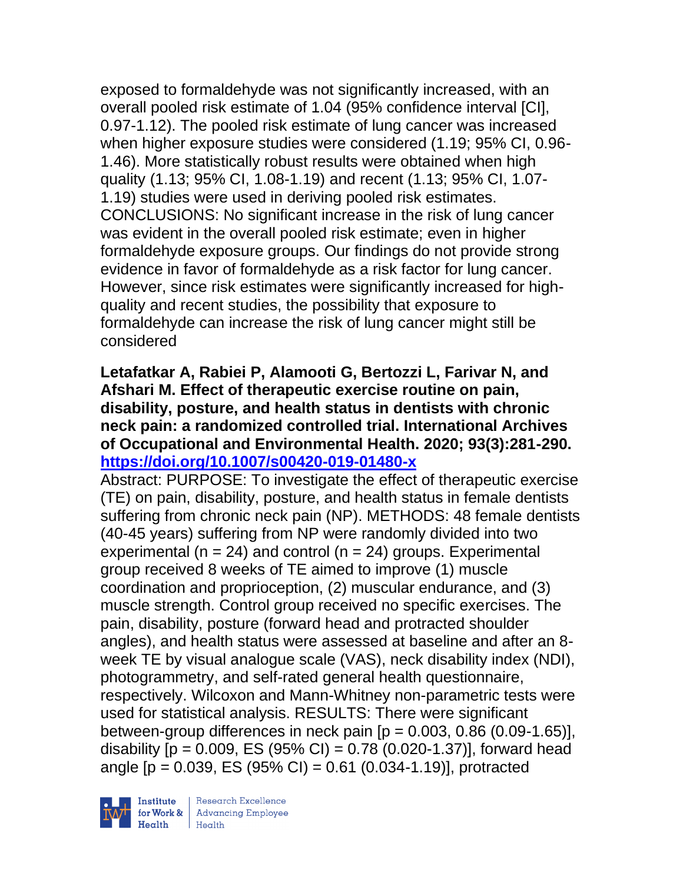exposed to formaldehyde was not significantly increased, with an overall pooled risk estimate of 1.04 (95% confidence interval [CI], 0.97-1.12). The pooled risk estimate of lung cancer was increased when higher exposure studies were considered (1.19; 95% CI, 0.96- 1.46). More statistically robust results were obtained when high quality (1.13; 95% CI, 1.08-1.19) and recent (1.13; 95% CI, 1.07- 1.19) studies were used in deriving pooled risk estimates. CONCLUSIONS: No significant increase in the risk of lung cancer was evident in the overall pooled risk estimate; even in higher formaldehyde exposure groups. Our findings do not provide strong evidence in favor of formaldehyde as a risk factor for lung cancer. However, since risk estimates were significantly increased for highquality and recent studies, the possibility that exposure to formaldehyde can increase the risk of lung cancer might still be considered

### **Letafatkar A, Rabiei P, Alamooti G, Bertozzi L, Farivar N, and Afshari M. Effect of therapeutic exercise routine on pain, disability, posture, and health status in dentists with chronic neck pain: a randomized controlled trial. International Archives of Occupational and Environmental Health. 2020; 93(3):281-290. <https://doi.org/10.1007/s00420-019-01480-x>**

Abstract: PURPOSE: To investigate the effect of therapeutic exercise (TE) on pain, disability, posture, and health status in female dentists suffering from chronic neck pain (NP). METHODS: 48 female dentists (40-45 years) suffering from NP were randomly divided into two experimental ( $n = 24$ ) and control ( $n = 24$ ) groups. Experimental group received 8 weeks of TE aimed to improve (1) muscle coordination and proprioception, (2) muscular endurance, and (3) muscle strength. Control group received no specific exercises. The pain, disability, posture (forward head and protracted shoulder angles), and health status were assessed at baseline and after an 8 week TE by visual analogue scale (VAS), neck disability index (NDI), photogrammetry, and self-rated general health questionnaire, respectively. Wilcoxon and Mann-Whitney non-parametric tests were used for statistical analysis. RESULTS: There were significant between-group differences in neck pain  $[p = 0.003, 0.86 (0.09-1.65)],$ disability  $[p = 0.009, ES (95% CI) = 0.78 (0.020-1.37)]$ , forward head angle  $[p = 0.039, ES (95% CI) = 0.61 (0.034 - 1.19)]$ , protracted

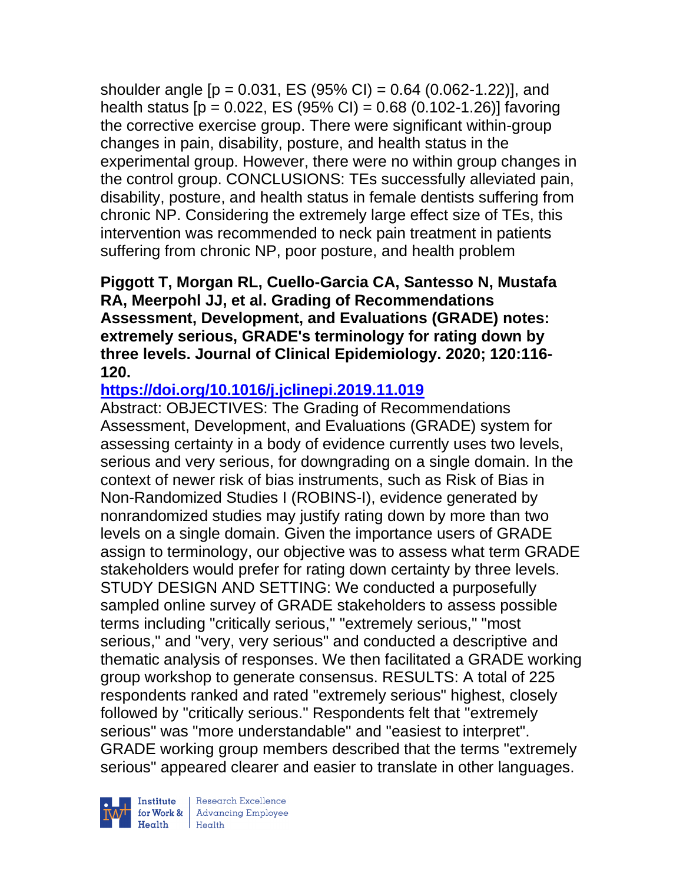shoulder angle  $[p = 0.031, ES (95% CI) = 0.64 (0.062-1.22)]$ , and health status  $[p = 0.022, ES (95% CI) = 0.68 (0.102-1.26)]$  favoring the corrective exercise group. There were significant within-group changes in pain, disability, posture, and health status in the experimental group. However, there were no within group changes in the control group. CONCLUSIONS: TEs successfully alleviated pain, disability, posture, and health status in female dentists suffering from chronic NP. Considering the extremely large effect size of TEs, this intervention was recommended to neck pain treatment in patients suffering from chronic NP, poor posture, and health problem

### **Piggott T, Morgan RL, Cuello-Garcia CA, Santesso N, Mustafa RA, Meerpohl JJ, et al. Grading of Recommendations Assessment, Development, and Evaluations (GRADE) notes: extremely serious, GRADE's terminology for rating down by three levels. Journal of Clinical Epidemiology. 2020; 120:116- 120.**

# **<https://doi.org/10.1016/j.jclinepi.2019.11.019>**

Abstract: OBJECTIVES: The Grading of Recommendations Assessment, Development, and Evaluations (GRADE) system for assessing certainty in a body of evidence currently uses two levels, serious and very serious, for downgrading on a single domain. In the context of newer risk of bias instruments, such as Risk of Bias in Non-Randomized Studies I (ROBINS-I), evidence generated by nonrandomized studies may justify rating down by more than two levels on a single domain. Given the importance users of GRADE assign to terminology, our objective was to assess what term GRADE stakeholders would prefer for rating down certainty by three levels. STUDY DESIGN AND SETTING: We conducted a purposefully sampled online survey of GRADE stakeholders to assess possible terms including "critically serious," "extremely serious," "most serious," and "very, very serious" and conducted a descriptive and thematic analysis of responses. We then facilitated a GRADE working group workshop to generate consensus. RESULTS: A total of 225 respondents ranked and rated "extremely serious" highest, closely followed by "critically serious." Respondents felt that "extremely serious" was "more understandable" and "easiest to interpret". GRADE working group members described that the terms "extremely serious" appeared clearer and easier to translate in other languages.

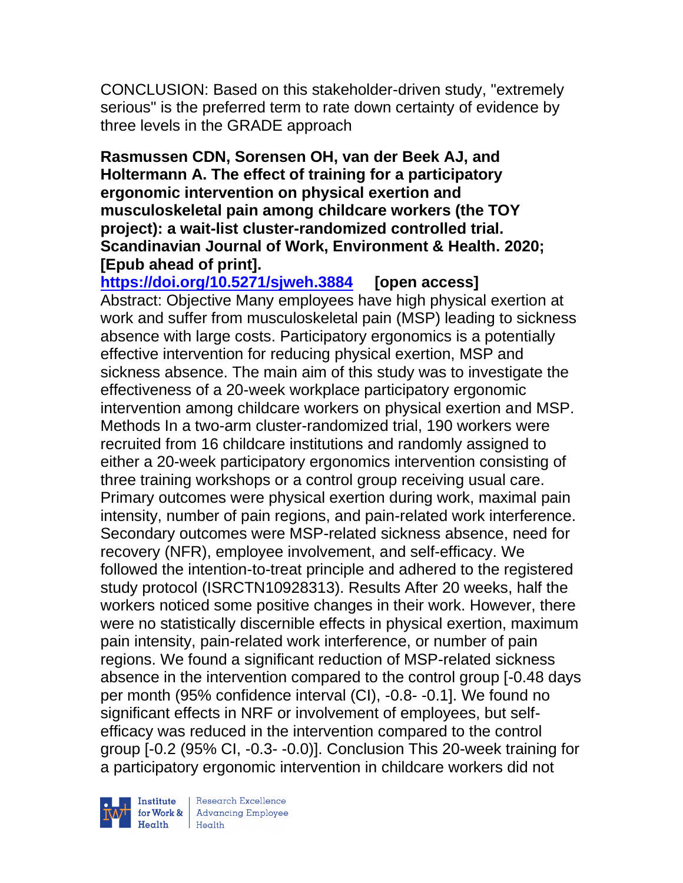CONCLUSION: Based on this stakeholder-driven study, "extremely serious" is the preferred term to rate down certainty of evidence by three levels in the GRADE approach

**Rasmussen CDN, Sorensen OH, van der Beek AJ, and Holtermann A. The effect of training for a participatory ergonomic intervention on physical exertion and musculoskeletal pain among childcare workers (the TOY project): a wait-list cluster-randomized controlled trial. Scandinavian Journal of Work, Environment & Health. 2020; [Epub ahead of print].**

**<https://doi.org/10.5271/sjweh.3884> [open access]** Abstract: Objective Many employees have high physical exertion at work and suffer from musculoskeletal pain (MSP) leading to sickness absence with large costs. Participatory ergonomics is a potentially effective intervention for reducing physical exertion, MSP and sickness absence. The main aim of this study was to investigate the effectiveness of a 20-week workplace participatory ergonomic intervention among childcare workers on physical exertion and MSP. Methods In a two-arm cluster-randomized trial, 190 workers were recruited from 16 childcare institutions and randomly assigned to either a 20-week participatory ergonomics intervention consisting of three training workshops or a control group receiving usual care. Primary outcomes were physical exertion during work, maximal pain intensity, number of pain regions, and pain-related work interference. Secondary outcomes were MSP-related sickness absence, need for recovery (NFR), employee involvement, and self-efficacy. We followed the intention-to-treat principle and adhered to the registered study protocol (ISRCTN10928313). Results After 20 weeks, half the workers noticed some positive changes in their work. However, there were no statistically discernible effects in physical exertion, maximum pain intensity, pain-related work interference, or number of pain regions. We found a significant reduction of MSP-related sickness absence in the intervention compared to the control group [-0.48 days per month (95% confidence interval (CI), -0.8- -0.1]. We found no significant effects in NRF or involvement of employees, but selfefficacy was reduced in the intervention compared to the control group [-0.2 (95% CI, -0.3- -0.0)]. Conclusion This 20-week training for a participatory ergonomic intervention in childcare workers did not

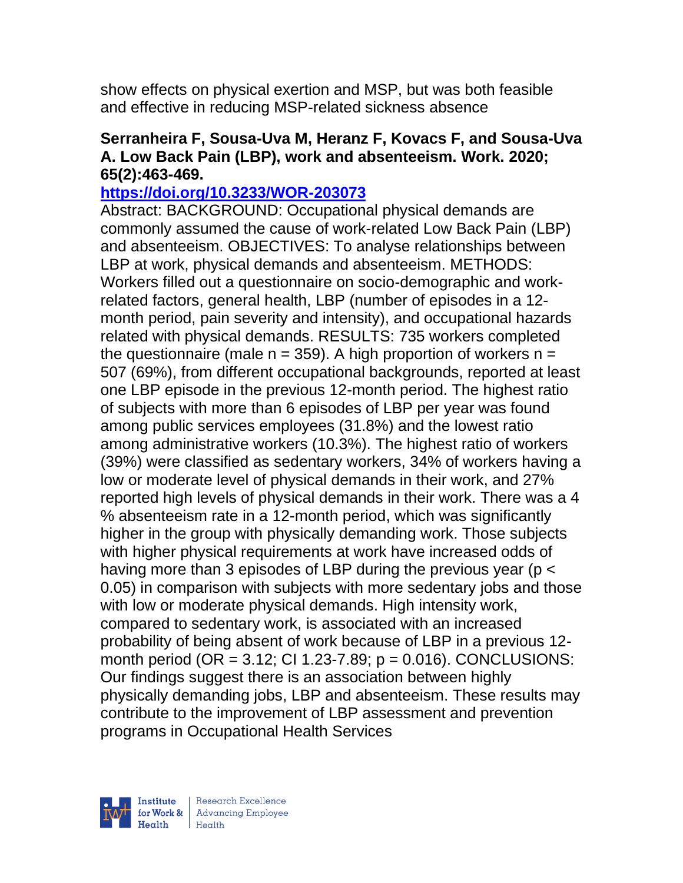show effects on physical exertion and MSP, but was both feasible and effective in reducing MSP-related sickness absence

### **Serranheira F, Sousa-Uva M, Heranz F, Kovacs F, and Sousa-Uva A. Low Back Pain (LBP), work and absenteeism. Work. 2020; 65(2):463-469.**

### **<https://doi.org/10.3233/WOR-203073>**

Abstract: BACKGROUND: Occupational physical demands are commonly assumed the cause of work-related Low Back Pain (LBP) and absenteeism. OBJECTIVES: To analyse relationships between LBP at work, physical demands and absenteeism. METHODS: Workers filled out a questionnaire on socio-demographic and workrelated factors, general health, LBP (number of episodes in a 12 month period, pain severity and intensity), and occupational hazards related with physical demands. RESULTS: 735 workers completed the questionnaire (male  $n = 359$ ). A high proportion of workers  $n =$ 507 (69%), from different occupational backgrounds, reported at least one LBP episode in the previous 12-month period. The highest ratio of subjects with more than 6 episodes of LBP per year was found among public services employees (31.8%) and the lowest ratio among administrative workers (10.3%). The highest ratio of workers (39%) were classified as sedentary workers, 34% of workers having a low or moderate level of physical demands in their work, and 27% reported high levels of physical demands in their work. There was a 4 % absenteeism rate in a 12-month period, which was significantly higher in the group with physically demanding work. Those subjects with higher physical requirements at work have increased odds of having more than 3 episodes of LBP during the previous year (p < 0.05) in comparison with subjects with more sedentary jobs and those with low or moderate physical demands. High intensity work, compared to sedentary work, is associated with an increased probability of being absent of work because of LBP in a previous 12 month period (OR =  $3.12$ ; CI 1.23-7.89; p = 0.016). CONCLUSIONS: Our findings suggest there is an association between highly physically demanding jobs, LBP and absenteeism. These results may contribute to the improvement of LBP assessment and prevention programs in Occupational Health Services

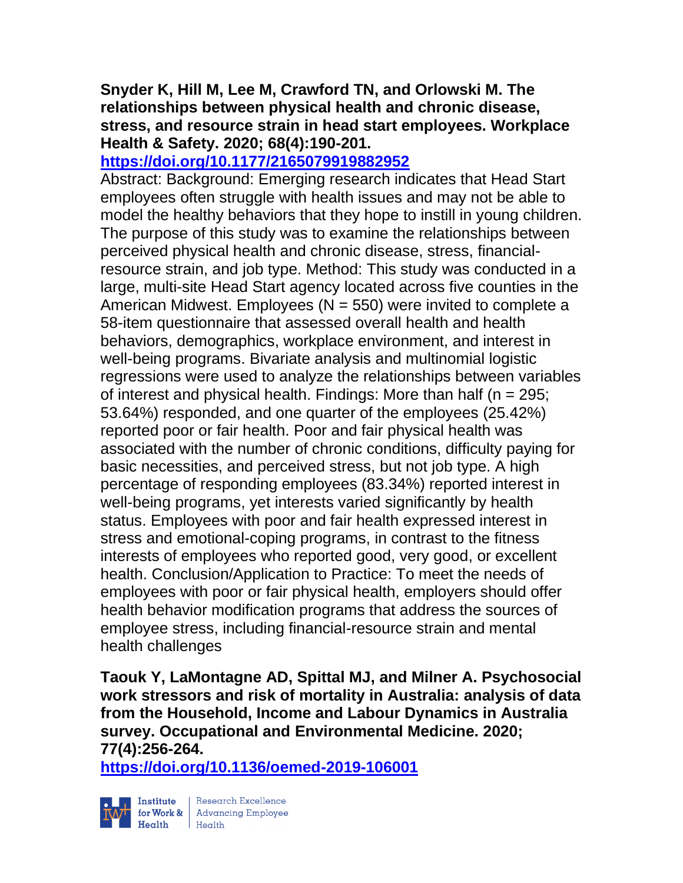### **Snyder K, Hill M, Lee M, Crawford TN, and Orlowski M. The relationships between physical health and chronic disease, stress, and resource strain in head start employees. Workplace Health & Safety. 2020; 68(4):190-201.**

# **<https://doi.org/10.1177/2165079919882952>**

Abstract: Background: Emerging research indicates that Head Start employees often struggle with health issues and may not be able to model the healthy behaviors that they hope to instill in young children. The purpose of this study was to examine the relationships between perceived physical health and chronic disease, stress, financialresource strain, and job type. Method: This study was conducted in a large, multi-site Head Start agency located across five counties in the American Midwest. Employees ( $N = 550$ ) were invited to complete a 58-item questionnaire that assessed overall health and health behaviors, demographics, workplace environment, and interest in well-being programs. Bivariate analysis and multinomial logistic regressions were used to analyze the relationships between variables of interest and physical health. Findings: More than half ( $n = 295$ ; 53.64%) responded, and one quarter of the employees (25.42%) reported poor or fair health. Poor and fair physical health was associated with the number of chronic conditions, difficulty paying for basic necessities, and perceived stress, but not job type. A high percentage of responding employees (83.34%) reported interest in well-being programs, yet interests varied significantly by health status. Employees with poor and fair health expressed interest in stress and emotional-coping programs, in contrast to the fitness interests of employees who reported good, very good, or excellent health. Conclusion/Application to Practice: To meet the needs of employees with poor or fair physical health, employers should offer health behavior modification programs that address the sources of employee stress, including financial-resource strain and mental health challenges

**Taouk Y, LaMontagne AD, Spittal MJ, and Milner A. Psychosocial work stressors and risk of mortality in Australia: analysis of data from the Household, Income and Labour Dynamics in Australia survey. Occupational and Environmental Medicine. 2020; 77(4):256-264.** 

**<https://doi.org/10.1136/oemed-2019-106001>** 



 $\begin{tabular}{|l|} Institute & Research Excellence \\ \hline for Work & Advancing Employee \\ Health & Health \\ \end{tabular}$ | Research Excellence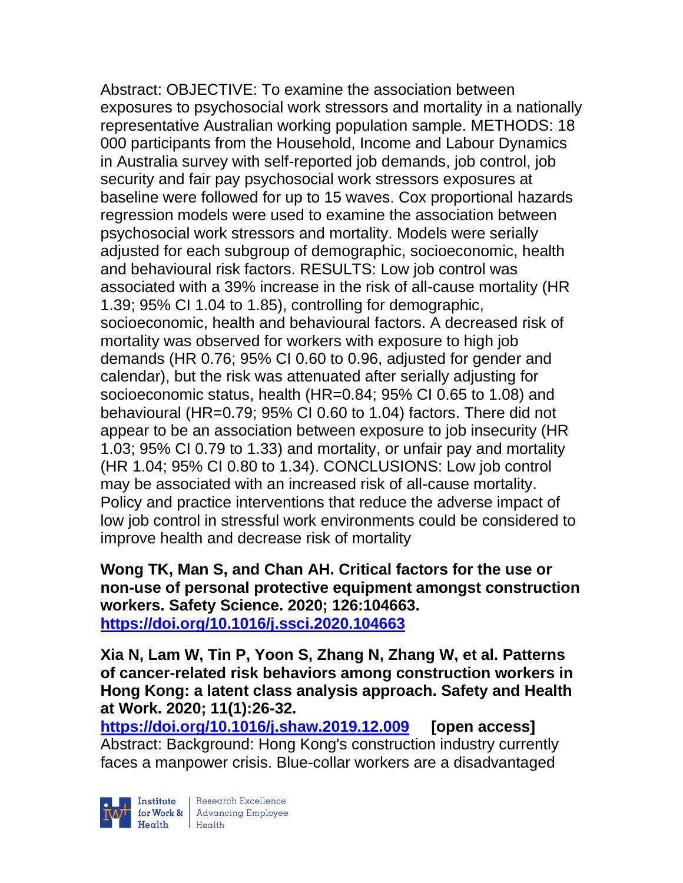Abstract: OBJECTIVE: To examine the association between exposures to psychosocial work stressors and mortality in a nationally representative Australian working population sample. METHODS: 18 000 participants from the Household, Income and Labour Dynamics in Australia survey with self-reported job demands, job control, job security and fair pay psychosocial work stressors exposures at baseline were followed for up to 15 waves. Cox proportional hazards regression models were used to examine the association between psychosocial work stressors and mortality. Models were serially adjusted for each subgroup of demographic, socioeconomic, health and behavioural risk factors. RESULTS: Low job control was associated with a 39% increase in the risk of all-cause mortality (HR 1.39; 95% CI 1.04 to 1.85), controlling for demographic, socioeconomic, health and behavioural factors. A decreased risk of mortality was observed for workers with exposure to high job demands (HR 0.76; 95% CI 0.60 to 0.96, adjusted for gender and calendar), but the risk was attenuated after serially adjusting for socioeconomic status, health (HR=0.84; 95% CI 0.65 to 1.08) and behavioural (HR=0.79; 95% CI 0.60 to 1.04) factors. There did not appear to be an association between exposure to job insecurity (HR 1.03; 95% CI 0.79 to 1.33) and mortality, or unfair pay and mortality (HR 1.04; 95% CI 0.80 to 1.34). CONCLUSIONS: Low job control may be associated with an increased risk of all-cause mortality. Policy and practice interventions that reduce the adverse impact of low job control in stressful work environments could be considered to improve health and decrease risk of mortality

**Wong TK, Man S, and Chan AH. Critical factors for the use or non-use of personal protective equipment amongst construction workers. Safety Science. 2020; 126:104663. <https://doi.org/10.1016/j.ssci.2020.104663>** 

**Xia N, Lam W, Tin P, Yoon S, Zhang N, Zhang W, et al. Patterns of cancer-related risk behaviors among construction workers in Hong Kong: a latent class analysis approach. Safety and Health at Work. 2020; 11(1):26-32.** 

**<https://doi.org/10.1016/j.shaw.2019.12.009> [open access]** Abstract: Background: Hong Kong's construction industry currently faces a manpower crisis. Blue-collar workers are a disadvantaged